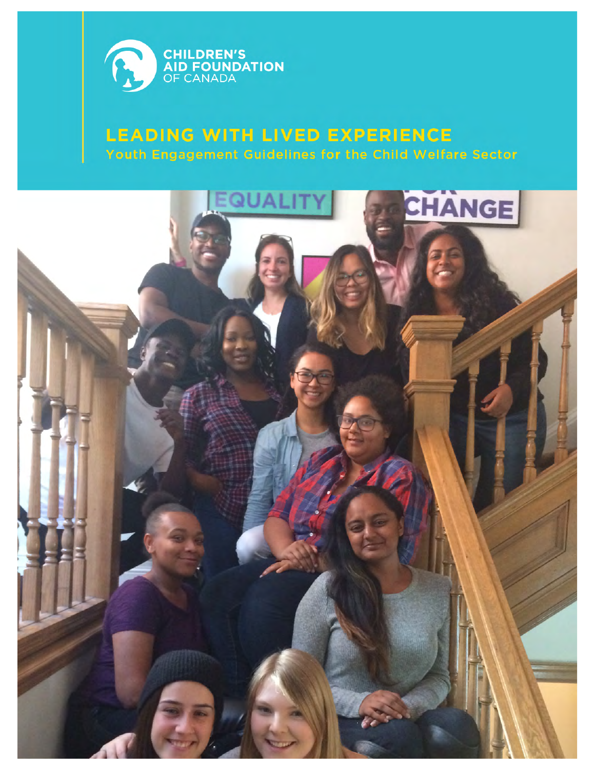

# **LEADING WITH LIVED EXPERIENCE** Youth Engagement Guidelines for the Child Welfare Sector

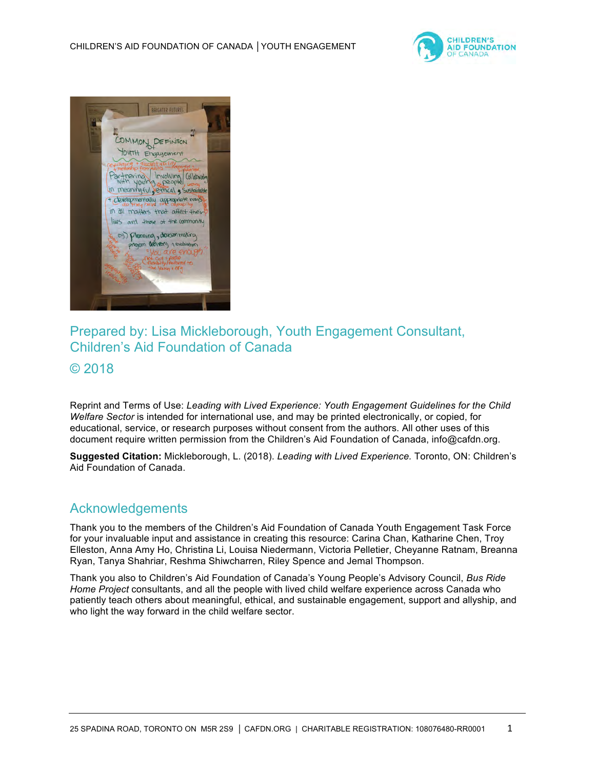



# Prepared by: Lisa Mickleborough, Youth Engagement Consultant, Children's Aid Foundation of Canada

# © 2018

Reprint and Terms of Use: *Leading with Lived Experience: Youth Engagement Guidelines for the Child Welfare Sector* is intended for international use, and may be printed electronically, or copied, for educational, service, or research purposes without consent from the authors. All other uses of this document require written permission from the Children's Aid Foundation of Canada, info@cafdn.org.

**Suggested Citation:** Mickleborough, L. (2018). *Leading with Lived Experience.* Toronto, ON: Children's Aid Foundation of Canada.

# Acknowledgements

Thank you to the members of the Children's Aid Foundation of Canada Youth Engagement Task Force for your invaluable input and assistance in creating this resource: Carina Chan, Katharine Chen, Troy Elleston, Anna Amy Ho, Christina Li, Louisa Niedermann, Victoria Pelletier, Cheyanne Ratnam, Breanna Ryan, Tanya Shahriar, Reshma Shiwcharren, Riley Spence and Jemal Thompson.

Thank you also to Children's Aid Foundation of Canada's Young People's Advisory Council, *Bus Ride Home Project* consultants, and all the people with lived child welfare experience across Canada who patiently teach others about meaningful, ethical, and sustainable engagement, support and allyship, and who light the way forward in the child welfare sector.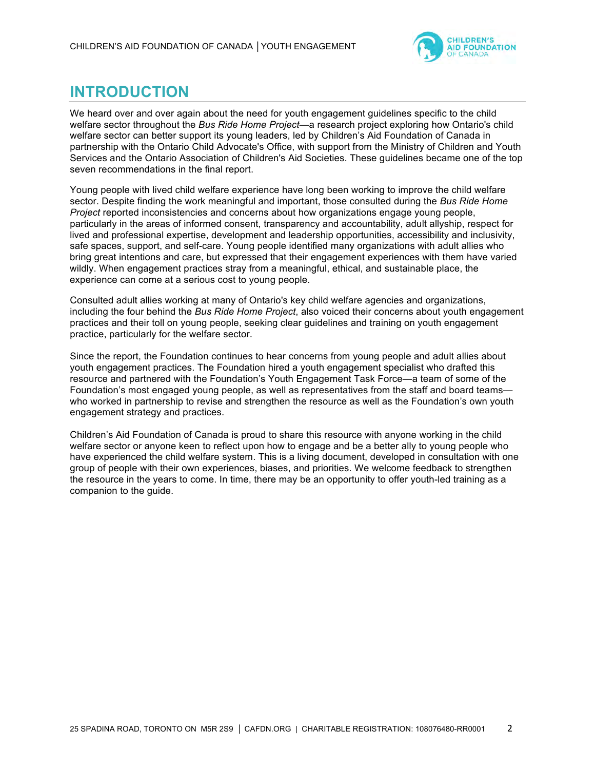

# **INTRODUCTION**

We heard over and over again about the need for youth engagement guidelines specific to the child welfare sector throughout the *Bus Ride Home Project*—a research project exploring how Ontario's child welfare sector can better support its young leaders, led by Children's Aid Foundation of Canada in partnership with the Ontario Child Advocate's Office, with support from the Ministry of Children and Youth Services and the Ontario Association of Children's Aid Societies. These guidelines became one of the top seven recommendations in the final report.

Young people with lived child welfare experience have long been working to improve the child welfare sector. Despite finding the work meaningful and important, those consulted during the *Bus Ride Home Project* reported inconsistencies and concerns about how organizations engage young people, particularly in the areas of informed consent, transparency and accountability, adult allyship, respect for lived and professional expertise, development and leadership opportunities, accessibility and inclusivity, safe spaces, support, and self-care. Young people identified many organizations with adult allies who bring great intentions and care, but expressed that their engagement experiences with them have varied wildly. When engagement practices stray from a meaningful, ethical, and sustainable place, the experience can come at a serious cost to young people.

Consulted adult allies working at many of Ontario's key child welfare agencies and organizations, including the four behind the *Bus Ride Home Project*, also voiced their concerns about youth engagement practices and their toll on young people, seeking clear guidelines and training on youth engagement practice, particularly for the welfare sector.

Since the report, the Foundation continues to hear concerns from young people and adult allies about youth engagement practices. The Foundation hired a youth engagement specialist who drafted this resource and partnered with the Foundation's Youth Engagement Task Force—a team of some of the Foundation's most engaged young people, as well as representatives from the staff and board teams who worked in partnership to revise and strengthen the resource as well as the Foundation's own youth engagement strategy and practices.

Children's Aid Foundation of Canada is proud to share this resource with anyone working in the child welfare sector or anyone keen to reflect upon how to engage and be a better ally to young people who have experienced the child welfare system. This is a living document, developed in consultation with one group of people with their own experiences, biases, and priorities. We welcome feedback to strengthen the resource in the years to come. In time, there may be an opportunity to offer youth-led training as a companion to the guide.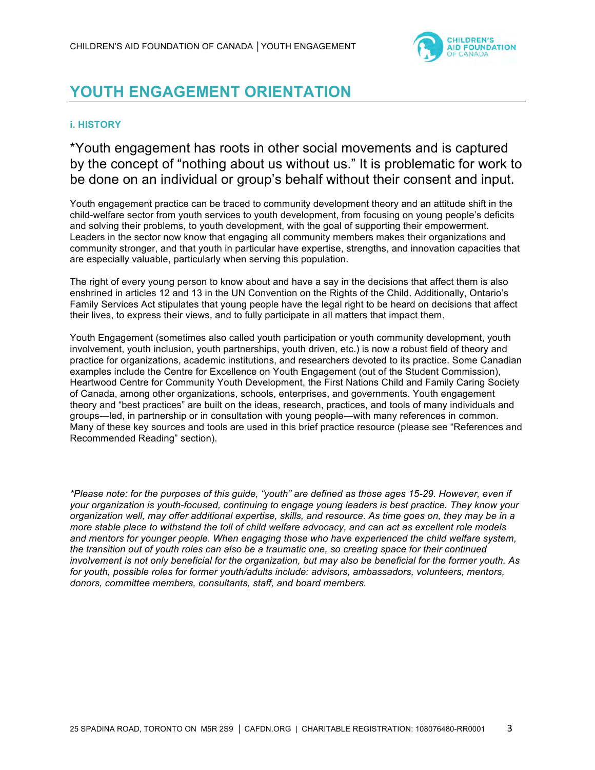

# **YOUTH ENGAGEMENT ORIENTATION**

## **i. HISTORY**

\*Youth engagement has roots in other social movements and is captured by the concept of "nothing about us without us." It is problematic for work to be done on an individual or group's behalf without their consent and input.

Youth engagement practice can be traced to community development theory and an attitude shift in the child-welfare sector from youth services to youth development, from focusing on young people's deficits and solving their problems, to youth development, with the goal of supporting their empowerment. Leaders in the sector now know that engaging all community members makes their organizations and community stronger, and that youth in particular have expertise, strengths, and innovation capacities that are especially valuable, particularly when serving this population.

The right of every young person to know about and have a say in the decisions that affect them is also enshrined in articles 12 and 13 in the UN Convention on the Rights of the Child. Additionally, Ontario's Family Services Act stipulates that young people have the legal right to be heard on decisions that affect their lives, to express their views, and to fully participate in all matters that impact them.

Youth Engagement (sometimes also called youth participation or youth community development, youth involvement, youth inclusion, youth partnerships, youth driven, etc.) is now a robust field of theory and practice for organizations, academic institutions, and researchers devoted to its practice. Some Canadian examples include the Centre for Excellence on Youth Engagement (out of the Student Commission), Heartwood Centre for Community Youth Development, the First Nations Child and Family Caring Society of Canada, among other organizations, schools, enterprises, and governments. Youth engagement theory and "best practices" are built on the ideas, research, practices, and tools of many individuals and groups—led, in partnership or in consultation with young people—with many references in common. Many of these key sources and tools are used in this brief practice resource (please see "References and Recommended Reading" section).

*\*Please note: for the purposes of this guide, "youth" are defined as those ages 15-29. However, even if your organization is youth-focused, continuing to engage young leaders is best practice. They know your organization well, may offer additional expertise, skills, and resource. As time goes on, they may be in a more stable place to withstand the toll of child welfare advocacy, and can act as excellent role models and mentors for younger people. When engaging those who have experienced the child welfare system, the transition out of youth roles can also be a traumatic one, so creating space for their continued involvement is not only beneficial for the organization, but may also be beneficial for the former youth. As for youth, possible roles for former youth/adults include: advisors, ambassadors, volunteers, mentors, donors, committee members, consultants, staff, and board members.*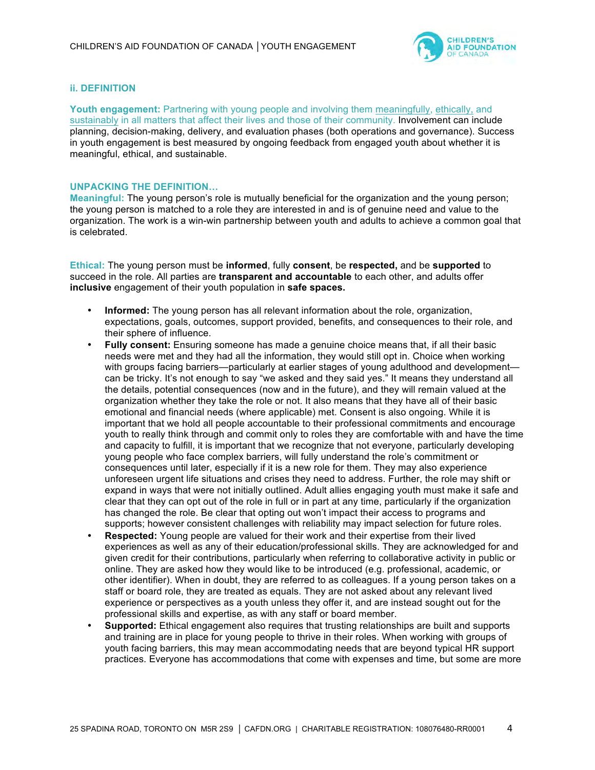

### **ii. DEFINITION**

**Youth engagement:** Partnering with young people and involving them meaningfully, ethically, and sustainably in all matters that affect their lives and those of their community. Involvement can include planning, decision-making, delivery, and evaluation phases (both operations and governance). Success in youth engagement is best measured by ongoing feedback from engaged youth about whether it is meaningful, ethical, and sustainable.

#### **UNPACKING THE DEFINITION…**

**Meaningful:** The young person's role is mutually beneficial for the organization and the young person; the young person is matched to a role they are interested in and is of genuine need and value to the organization. The work is a win-win partnership between youth and adults to achieve a common goal that is celebrated.

**Ethical:** The young person must be **informed**, fully **consent**, be **respected,** and be **supported** to succeed in the role. All parties are **transparent and accountable** to each other, and adults offer **inclusive** engagement of their youth population in **safe spaces.**

- **Informed:** The young person has all relevant information about the role, organization, expectations, goals, outcomes, support provided, benefits, and consequences to their role, and their sphere of influence.
- **Fully consent:** Ensuring someone has made a genuine choice means that, if all their basic needs were met and they had all the information, they would still opt in. Choice when working with groups facing barriers—particularly at earlier stages of young adulthood and development can be tricky. It's not enough to say "we asked and they said yes." It means they understand all the details, potential consequences (now and in the future), and they will remain valued at the organization whether they take the role or not. It also means that they have all of their basic emotional and financial needs (where applicable) met. Consent is also ongoing. While it is important that we hold all people accountable to their professional commitments and encourage youth to really think through and commit only to roles they are comfortable with and have the time and capacity to fulfill, it is important that we recognize that not everyone, particularly developing young people who face complex barriers, will fully understand the role's commitment or consequences until later, especially if it is a new role for them. They may also experience unforeseen urgent life situations and crises they need to address. Further, the role may shift or expand in ways that were not initially outlined. Adult allies engaging youth must make it safe and clear that they can opt out of the role in full or in part at any time, particularly if the organization has changed the role. Be clear that opting out won't impact their access to programs and supports; however consistent challenges with reliability may impact selection for future roles.
- **Respected:** Young people are valued for their work and their expertise from their lived experiences as well as any of their education/professional skills. They are acknowledged for and given credit for their contributions, particularly when referring to collaborative activity in public or online. They are asked how they would like to be introduced (e.g. professional, academic, or other identifier). When in doubt, they are referred to as colleagues. If a young person takes on a staff or board role, they are treated as equals. They are not asked about any relevant lived experience or perspectives as a youth unless they offer it, and are instead sought out for the professional skills and expertise, as with any staff or board member.
- **Supported:** Ethical engagement also requires that trusting relationships are built and supports and training are in place for young people to thrive in their roles. When working with groups of youth facing barriers, this may mean accommodating needs that are beyond typical HR support practices. Everyone has accommodations that come with expenses and time, but some are more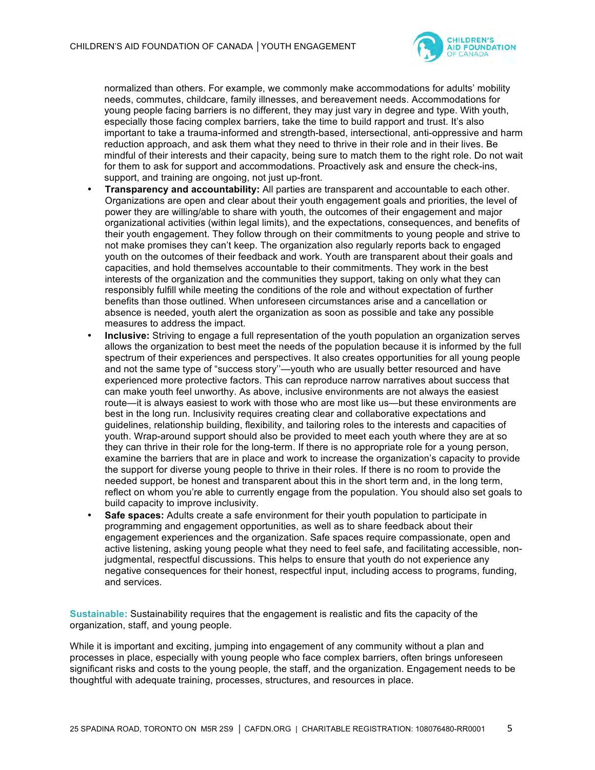

normalized than others. For example, we commonly make accommodations for adults' mobility needs, commutes, childcare, family illnesses, and bereavement needs. Accommodations for young people facing barriers is no different, they may just vary in degree and type. With youth, especially those facing complex barriers, take the time to build rapport and trust. It's also important to take a trauma-informed and strength-based, intersectional, anti-oppressive and harm reduction approach, and ask them what they need to thrive in their role and in their lives. Be mindful of their interests and their capacity, being sure to match them to the right role. Do not wait for them to ask for support and accommodations. Proactively ask and ensure the check-ins, support, and training are ongoing, not just up-front.

- **Transparency and accountability:** All parties are transparent and accountable to each other. Organizations are open and clear about their youth engagement goals and priorities, the level of power they are willing/able to share with youth, the outcomes of their engagement and major organizational activities (within legal limits), and the expectations, consequences, and benefits of their youth engagement. They follow through on their commitments to young people and strive to not make promises they can't keep. The organization also regularly reports back to engaged youth on the outcomes of their feedback and work. Youth are transparent about their goals and capacities, and hold themselves accountable to their commitments. They work in the best interests of the organization and the communities they support, taking on only what they can responsibly fulfill while meeting the conditions of the role and without expectation of further benefits than those outlined. When unforeseen circumstances arise and a cancellation or absence is needed, youth alert the organization as soon as possible and take any possible measures to address the impact.
- **Inclusive:** Striving to engage a full representation of the youth population an organization serves allows the organization to best meet the needs of the population because it is informed by the full spectrum of their experiences and perspectives. It also creates opportunities for all young people and not the same type of "success story''—youth who are usually better resourced and have experienced more protective factors. This can reproduce narrow narratives about success that can make youth feel unworthy. As above, inclusive environments are not always the easiest route—it is always easiest to work with those who are most like us—but these environments are best in the long run. Inclusivity requires creating clear and collaborative expectations and guidelines, relationship building, flexibility, and tailoring roles to the interests and capacities of youth. Wrap-around support should also be provided to meet each youth where they are at so they can thrive in their role for the long-term. If there is no appropriate role for a young person, examine the barriers that are in place and work to increase the organization's capacity to provide the support for diverse young people to thrive in their roles. If there is no room to provide the needed support, be honest and transparent about this in the short term and, in the long term, reflect on whom you're able to currently engage from the population. You should also set goals to build capacity to improve inclusivity.
- **Safe spaces:** Adults create a safe environment for their youth population to participate in programming and engagement opportunities, as well as to share feedback about their engagement experiences and the organization. Safe spaces require compassionate, open and active listening, asking young people what they need to feel safe, and facilitating accessible, nonjudgmental, respectful discussions. This helps to ensure that youth do not experience any negative consequences for their honest, respectful input, including access to programs, funding, and services.

**Sustainable:** Sustainability requires that the engagement is realistic and fits the capacity of the organization, staff, and young people.

While it is important and exciting, jumping into engagement of any community without a plan and processes in place, especially with young people who face complex barriers, often brings unforeseen significant risks and costs to the young people, the staff, and the organization. Engagement needs to be thoughtful with adequate training, processes, structures, and resources in place.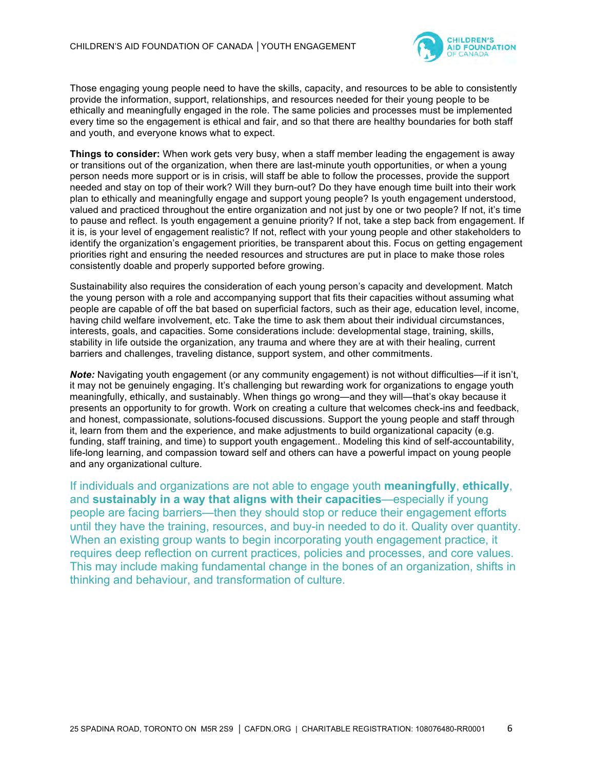

Those engaging young people need to have the skills, capacity, and resources to be able to consistently provide the information, support, relationships, and resources needed for their young people to be ethically and meaningfully engaged in the role. The same policies and processes must be implemented every time so the engagement is ethical and fair, and so that there are healthy boundaries for both staff and youth, and everyone knows what to expect.

**Things to consider:** When work gets very busy, when a staff member leading the engagement is away or transitions out of the organization, when there are last-minute youth opportunities, or when a young person needs more support or is in crisis, will staff be able to follow the processes, provide the support needed and stay on top of their work? Will they burn-out? Do they have enough time built into their work plan to ethically and meaningfully engage and support young people? Is youth engagement understood, valued and practiced throughout the entire organization and not just by one or two people? If not, it's time to pause and reflect. Is youth engagement a genuine priority? If not, take a step back from engagement. If it is, is your level of engagement realistic? If not, reflect with your young people and other stakeholders to identify the organization's engagement priorities, be transparent about this. Focus on getting engagement priorities right and ensuring the needed resources and structures are put in place to make those roles consistently doable and properly supported before growing.

Sustainability also requires the consideration of each young person's capacity and development. Match the young person with a role and accompanying support that fits their capacities without assuming what people are capable of off the bat based on superficial factors, such as their age, education level, income, having child welfare involvement, etc. Take the time to ask them about their individual circumstances, interests, goals, and capacities. Some considerations include: developmental stage, training, skills, stability in life outside the organization, any trauma and where they are at with their healing, current barriers and challenges, traveling distance, support system, and other commitments.

*Note:* Navigating youth engagement (or any community engagement) is not without difficulties—if it isn't, it may not be genuinely engaging. It's challenging but rewarding work for organizations to engage youth meaningfully, ethically, and sustainably. When things go wrong—and they will—that's okay because it presents an opportunity to for growth. Work on creating a culture that welcomes check-ins and feedback, and honest, compassionate, solutions-focused discussions. Support the young people and staff through it, learn from them and the experience, and make adjustments to build organizational capacity (e.g. funding, staff training, and time) to support youth engagement.. Modeling this kind of self-accountability, life-long learning, and compassion toward self and others can have a powerful impact on young people and any organizational culture.

If individuals and organizations are not able to engage youth **meaningfully**, **ethically**, and **sustainably in a way that aligns with their capacities**—especially if young people are facing barriers—then they should stop or reduce their engagement efforts until they have the training, resources, and buy-in needed to do it. Quality over quantity. When an existing group wants to begin incorporating youth engagement practice, it requires deep reflection on current practices, policies and processes, and core values. This may include making fundamental change in the bones of an organization, shifts in thinking and behaviour, and transformation of culture.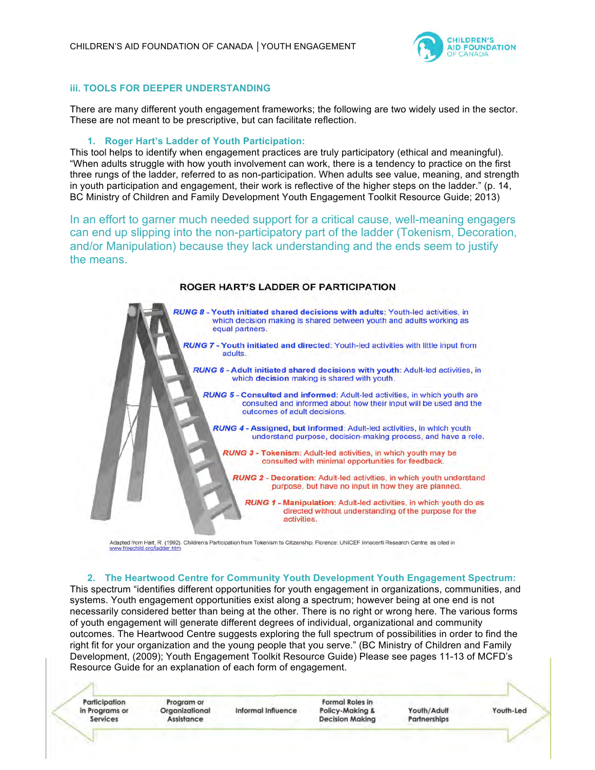

#### **iii. TOOLS FOR DEEPER UNDERSTANDING**

There are many different youth engagement frameworks; the following are two widely used in the sector. These are not meant to be prescriptive, but can facilitate reflection.

#### **1. Roger Hart's Ladder of Youth Participation:**

This tool helps to identify when engagement practices are truly participatory (ethical and meaningful). "When adults struggle with how youth involvement can work, there is a tendency to practice on the first three rungs of the ladder, referred to as non-participation. When adults see value, meaning, and strength in youth participation and engagement, their work is reflective of the higher steps on the ladder." (p. 14, BC Ministry of Children and Family Development Youth Engagement Toolkit Resource Guide; 2013)

In an effort to garner much needed support for a critical cause, well-meaning engagers can end up slipping into the non-participatory part of the ladder (Tokenism, Decoration, and/or Manipulation) because they lack understanding and the ends seem to justify the means.

#### ROGER HART'S LADDER OF PARTICIPATION

RUNG 8 - Youth initiated shared decisions with adults: Youth-led activities, in which decision making is shared between youth and adults working as equal partners.

- RUNG 7 Youth initiated and directed: Youth-led activities with little input from adults.
	- RUNG 6 Adult initiated shared decisions with youth: Adult-led activities, in which decision making is shared with youth.
		- RUNG 5 Consulted and informed: Adult-led activities, in which youth are consulted and informed about how their input will be used and the outcomes of adult decisions.
			- RUNG 4 Assigned, but informed: Adult-led activities, in which youth understand purpose, decision-making process, and have a role.
				- RUNG 3 Tokenism: Adult-led activities, in which youth may be consulted with minimal opportunities for feedback.
					- RUNG 2 Decoration: Adult-led activities, in which youth understand purpose, but have no input in how they are planned.
						- RUNG 1 Manipulation: Adult-led activities, in which youth do as directed without understanding of the purpose for the activities.

Adapted from Hart, R. (1992). Children's Participation from Tokenism to Citizenship. Florence: UNICEF Innocenti Research Centre, as cited in www.freechild.org/lad er.htm

#### **2. The Heartwood Centre for Community Youth Development Youth Engagement Spectrum:**

This spectrum "identifies different opportunities for youth engagement in organizations, communities, and systems. Youth engagement opportunities exist along a spectrum; however being at one end is not necessarily considered better than being at the other. There is no right or wrong here. The various forms of youth engagement will generate different degrees of individual, organizational and community outcomes. The Heartwood Centre suggests exploring the full spectrum of possibilities in order to find the right fit for your organization and the young people that you serve." (BC Ministry of Children and Family Development, (2009); Youth Engagement Toolkit Resource Guide) Please see pages 11-13 of MCFD's Resource Guide for an explanation of each form of engagement.

25 SPADINA ROAD, TORONTO ON M5R 2S9 ∂ CAFD | CHARITABLE REGISTRATION: 108076480-RR0001 708076480-RR0001 708076480-RR0001 708076480-RR0001 708076480-RR0001 708076480-RR0001 708076480-RR0001 708076480-RR0001 70076480-RR0001

Participation in Programs or Services

Program or Organizational **Assistance** 

Informal Influence

Formal Roles in Policy-Making & **Decision Making** 

Youth/Adult Partnerships Youth-Led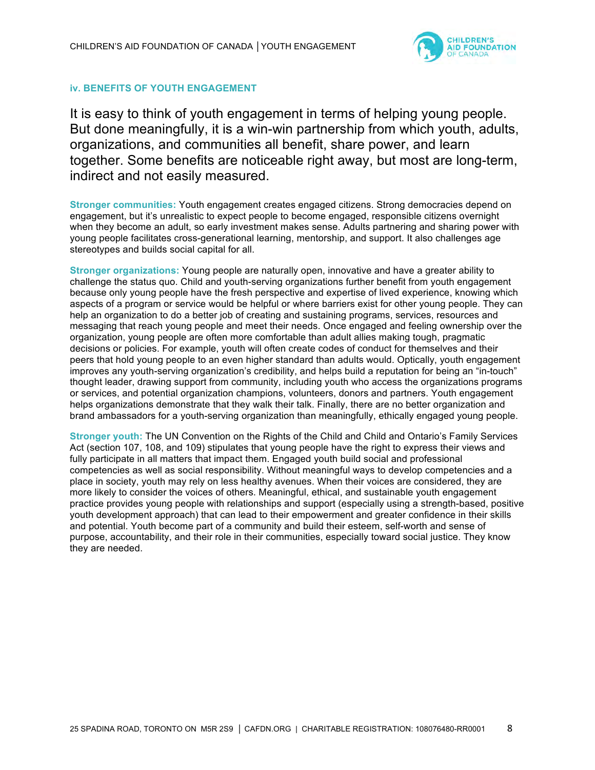

## **iv. BENEFITS OF YOUTH ENGAGEMENT**

It is easy to think of youth engagement in terms of helping young people. But done meaningfully, it is a win-win partnership from which youth, adults, organizations, and communities all benefit, share power, and learn together. Some benefits are noticeable right away, but most are long-term, indirect and not easily measured.

**Stronger communities:** Youth engagement creates engaged citizens. Strong democracies depend on engagement, but it's unrealistic to expect people to become engaged, responsible citizens overnight when they become an adult, so early investment makes sense. Adults partnering and sharing power with young people facilitates cross-generational learning, mentorship, and support. It also challenges age stereotypes and builds social capital for all.

**Stronger organizations:** Young people are naturally open, innovative and have a greater ability to challenge the status quo. Child and youth-serving organizations further benefit from youth engagement because only young people have the fresh perspective and expertise of lived experience, knowing which aspects of a program or service would be helpful or where barriers exist for other young people. They can help an organization to do a better job of creating and sustaining programs, services, resources and messaging that reach young people and meet their needs. Once engaged and feeling ownership over the organization, young people are often more comfortable than adult allies making tough, pragmatic decisions or policies. For example, youth will often create codes of conduct for themselves and their peers that hold young people to an even higher standard than adults would. Optically, youth engagement improves any youth-serving organization's credibility, and helps build a reputation for being an "in-touch" thought leader, drawing support from community, including youth who access the organizations programs or services, and potential organization champions, volunteers, donors and partners. Youth engagement helps organizations demonstrate that they walk their talk. Finally, there are no better organization and brand ambassadors for a youth-serving organization than meaningfully, ethically engaged young people.

**Stronger youth:** The UN Convention on the Rights of the Child and Child and Ontario's Family Services Act (section 107, 108, and 109) stipulates that young people have the right to express their views and fully participate in all matters that impact them. Engaged youth build social and professional competencies as well as social responsibility. Without meaningful ways to develop competencies and a place in society, youth may rely on less healthy avenues. When their voices are considered, they are more likely to consider the voices of others. Meaningful, ethical, and sustainable youth engagement practice provides young people with relationships and support (especially using a strength-based, positive youth development approach) that can lead to their empowerment and greater confidence in their skills and potential. Youth become part of a community and build their esteem, self-worth and sense of purpose, accountability, and their role in their communities, especially toward social justice. They know they are needed.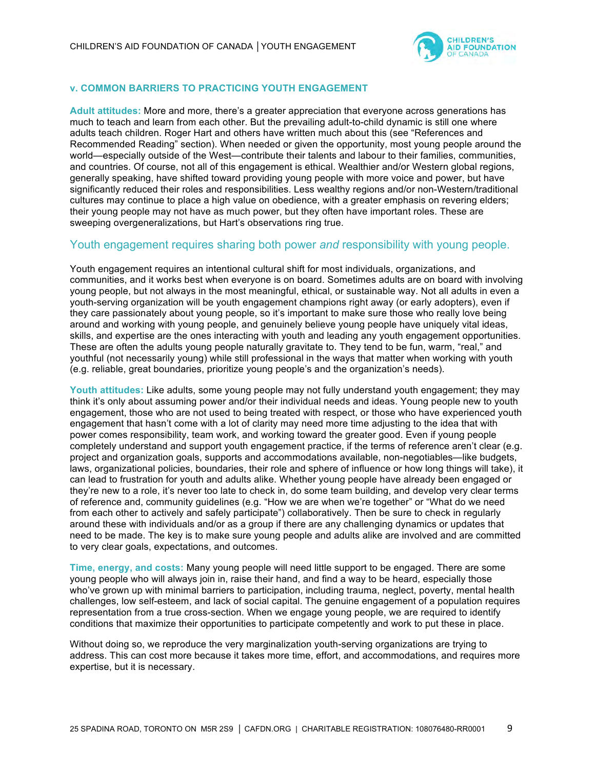

### **v. COMMON BARRIERS TO PRACTICING YOUTH ENGAGEMENT**

**Adult attitudes:** More and more, there's a greater appreciation that everyone across generations has much to teach and learn from each other. But the prevailing adult-to-child dynamic is still one where adults teach children. Roger Hart and others have written much about this (see "References and Recommended Reading" section). When needed or given the opportunity, most young people around the world—especially outside of the West—contribute their talents and labour to their families, communities, and countries. Of course, not all of this engagement is ethical. Wealthier and/or Western global regions, generally speaking, have shifted toward providing young people with more voice and power, but have significantly reduced their roles and responsibilities. Less wealthy regions and/or non-Western/traditional cultures may continue to place a high value on obedience, with a greater emphasis on revering elders; their young people may not have as much power, but they often have important roles. These are sweeping overgeneralizations, but Hart's observations ring true.

## Youth engagement requires sharing both power *and* responsibility with young people.

Youth engagement requires an intentional cultural shift for most individuals, organizations, and communities, and it works best when everyone is on board. Sometimes adults are on board with involving young people, but not always in the most meaningful, ethical, or sustainable way. Not all adults in even a youth-serving organization will be youth engagement champions right away (or early adopters), even if they care passionately about young people, so it's important to make sure those who really love being around and working with young people, and genuinely believe young people have uniquely vital ideas, skills, and expertise are the ones interacting with youth and leading any youth engagement opportunities. These are often the adults young people naturally gravitate to. They tend to be fun, warm, "real," and youthful (not necessarily young) while still professional in the ways that matter when working with youth (e.g. reliable, great boundaries, prioritize young people's and the organization's needs).

**Youth attitudes:** Like adults, some young people may not fully understand youth engagement; they may think it's only about assuming power and/or their individual needs and ideas. Young people new to youth engagement, those who are not used to being treated with respect, or those who have experienced youth engagement that hasn't come with a lot of clarity may need more time adjusting to the idea that with power comes responsibility, team work, and working toward the greater good. Even if young people completely understand and support youth engagement practice, if the terms of reference aren't clear (e.g. project and organization goals, supports and accommodations available, non-negotiables—like budgets, laws, organizational policies, boundaries, their role and sphere of influence or how long things will take), it can lead to frustration for youth and adults alike. Whether young people have already been engaged or they're new to a role, it's never too late to check in, do some team building, and develop very clear terms of reference and, community guidelines (e.g. "How we are when we're together" or "What do we need from each other to actively and safely participate") collaboratively. Then be sure to check in regularly around these with individuals and/or as a group if there are any challenging dynamics or updates that need to be made. The key is to make sure young people and adults alike are involved and are committed to very clear goals, expectations, and outcomes.

**Time, energy, and costs:** Many young people will need little support to be engaged. There are some young people who will always join in, raise their hand, and find a way to be heard, especially those who've grown up with minimal barriers to participation, including trauma, neglect, poverty, mental health challenges, low self-esteem, and lack of social capital. The genuine engagement of a population requires representation from a true cross-section. When we engage young people, we are required to identify conditions that maximize their opportunities to participate competently and work to put these in place.

Without doing so, we reproduce the very marginalization youth-serving organizations are trying to address. This can cost more because it takes more time, effort, and accommodations, and requires more expertise, but it is necessary.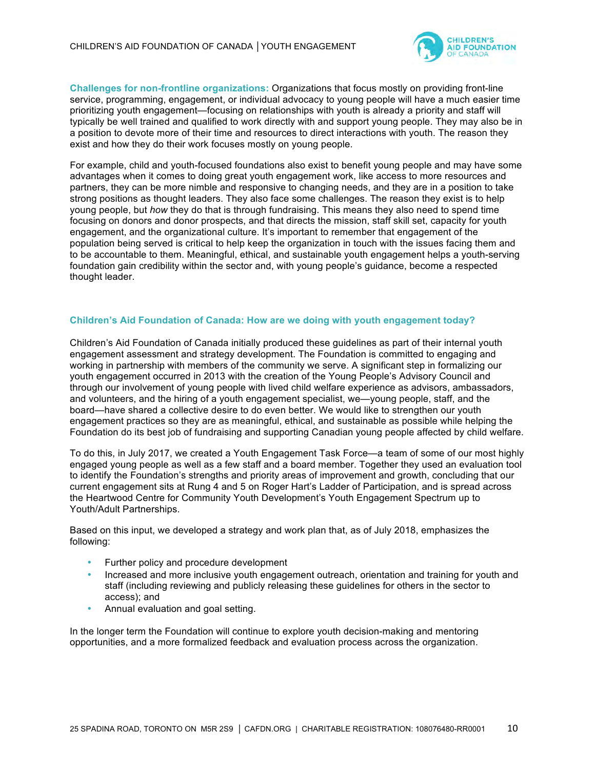

**Challenges for non-frontline organizations:** Organizations that focus mostly on providing front-line service, programming, engagement, or individual advocacy to young people will have a much easier time prioritizing youth engagement—focusing on relationships with youth is already a priority and staff will typically be well trained and qualified to work directly with and support young people. They may also be in a position to devote more of their time and resources to direct interactions with youth. The reason they exist and how they do their work focuses mostly on young people.

For example, child and youth-focused foundations also exist to benefit young people and may have some advantages when it comes to doing great youth engagement work, like access to more resources and partners, they can be more nimble and responsive to changing needs, and they are in a position to take strong positions as thought leaders. They also face some challenges. The reason they exist is to help young people, but *how* they do that is through fundraising. This means they also need to spend time focusing on donors and donor prospects, and that directs the mission, staff skill set, capacity for youth engagement, and the organizational culture. It's important to remember that engagement of the population being served is critical to help keep the organization in touch with the issues facing them and to be accountable to them. Meaningful, ethical, and sustainable youth engagement helps a youth-serving foundation gain credibility within the sector and, with young people's guidance, become a respected thought leader.

### **Children's Aid Foundation of Canada: How are we doing with youth engagement today?**

Children's Aid Foundation of Canada initially produced these guidelines as part of their internal youth engagement assessment and strategy development. The Foundation is committed to engaging and working in partnership with members of the community we serve. A significant step in formalizing our youth engagement occurred in 2013 with the creation of the Young People's Advisory Council and through our involvement of young people with lived child welfare experience as advisors, ambassadors, and volunteers, and the hiring of a youth engagement specialist, we—young people, staff, and the board—have shared a collective desire to do even better. We would like to strengthen our youth engagement practices so they are as meaningful, ethical, and sustainable as possible while helping the Foundation do its best job of fundraising and supporting Canadian young people affected by child welfare.

To do this, in July 2017, we created a Youth Engagement Task Force—a team of some of our most highly engaged young people as well as a few staff and a board member. Together they used an evaluation tool to identify the Foundation's strengths and priority areas of improvement and growth, concluding that our current engagement sits at Rung 4 and 5 on Roger Hart's Ladder of Participation, and is spread across the Heartwood Centre for Community Youth Development's Youth Engagement Spectrum up to Youth/Adult Partnerships.

Based on this input, we developed a strategy and work plan that, as of July 2018, emphasizes the following:

- Further policy and procedure development
- Increased and more inclusive youth engagement outreach, orientation and training for youth and staff (including reviewing and publicly releasing these guidelines for others in the sector to access); and
- Annual evaluation and goal setting.

In the longer term the Foundation will continue to explore youth decision-making and mentoring opportunities, and a more formalized feedback and evaluation process across the organization.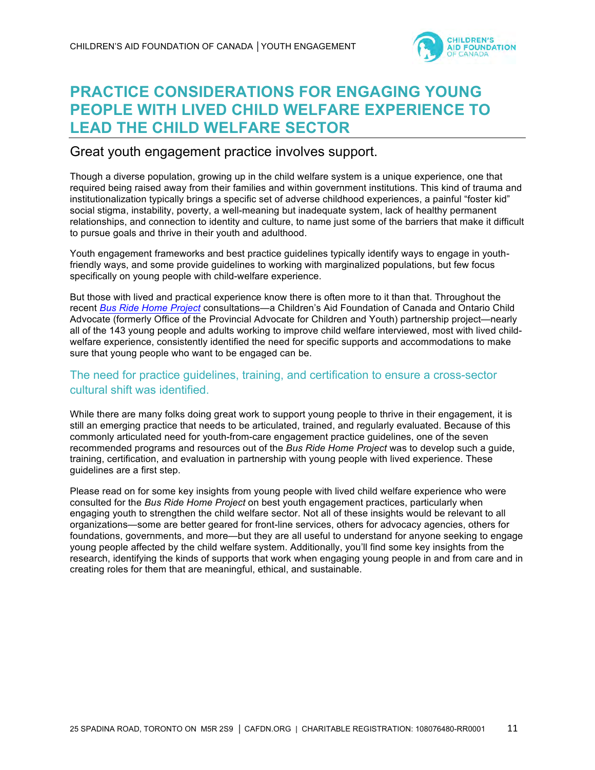

# **PRACTICE CONSIDERATIONS FOR ENGAGING YOUNG PEOPLE WITH LIVED CHILD WELFARE EXPERIENCE TO LEAD THE CHILD WELFARE SECTOR**

# Great youth engagement practice involves support.

Though a diverse population, growing up in the child welfare system is a unique experience, one that required being raised away from their families and within government institutions. This kind of trauma and institutionalization typically brings a specific set of adverse childhood experiences, a painful "foster kid" social stigma, instability, poverty, a well-meaning but inadequate system, lack of healthy permanent relationships, and connection to identity and culture, to name just some of the barriers that make it difficult to pursue goals and thrive in their youth and adulthood.

Youth engagement frameworks and best practice guidelines typically identify ways to engage in youthfriendly ways, and some provide guidelines to working with marginalized populations, but few focus specifically on young people with child-welfare experience.

But those with lived and practical experience know there is often more to it than that. Throughout the recent *Bus Ride Home Project* consultations—a Children's Aid Foundation of Canada and Ontario Child Advocate (formerly Office of the Provincial Advocate for Children and Youth) partnership project—nearly all of the 143 young people and adults working to improve child welfare interviewed, most with lived childwelfare experience, consistently identified the need for specific supports and accommodations to make sure that young people who want to be engaged can be.

## The need for practice guidelines, training, and certification to ensure a cross-sector cultural shift was identified.

While there are many folks doing great work to support young people to thrive in their engagement, it is still an emerging practice that needs to be articulated, trained, and regularly evaluated. Because of this commonly articulated need for youth-from-care engagement practice guidelines, one of the seven recommended programs and resources out of the *Bus Ride Home Project* was to develop such a guide, training, certification, and evaluation in partnership with young people with lived experience. These guidelines are a first step.

Please read on for some key insights from young people with lived child welfare experience who were consulted for the *Bus Ride Home Project* on best youth engagement practices, particularly when engaging youth to strengthen the child welfare sector. Not all of these insights would be relevant to all organizations—some are better geared for front-line services, others for advocacy agencies, others for foundations, governments, and more—but they are all useful to understand for anyone seeking to engage young people affected by the child welfare system. Additionally, you'll find some key insights from the research, identifying the kinds of supports that work when engaging young people in and from care and in creating roles for them that are meaningful, ethical, and sustainable.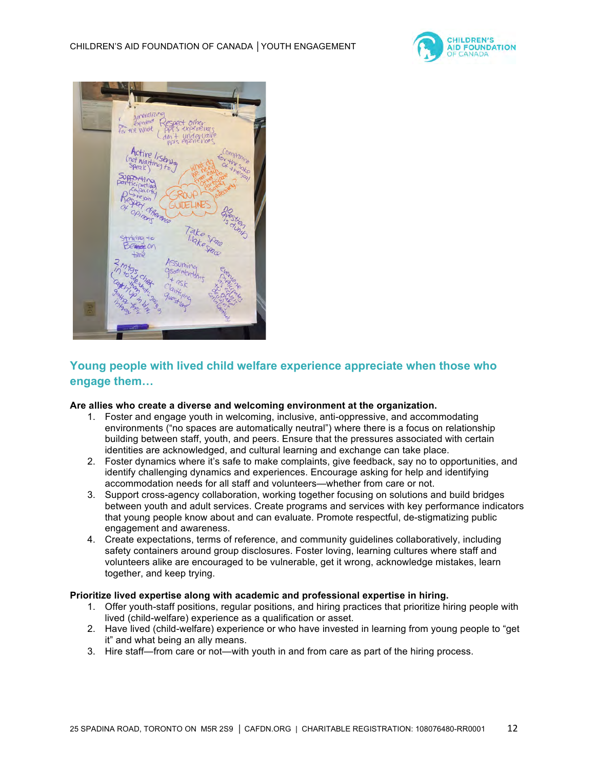



## **Young people with lived child welfare experience appreciate when those who engage them…**

#### **Are allies who create a diverse and welcoming environment at the organization.**

- 1. Foster and engage youth in welcoming, inclusive, anti-oppressive, and accommodating environments ("no spaces are automatically neutral") where there is a focus on relationship building between staff, youth, and peers. Ensure that the pressures associated with certain identities are acknowledged, and cultural learning and exchange can take place.
- 2. Foster dynamics where it's safe to make complaints, give feedback, say no to opportunities, and identify challenging dynamics and experiences. Encourage asking for help and identifying accommodation needs for all staff and volunteers—whether from care or not.
- 3. Support cross-agency collaboration, working together focusing on solutions and build bridges between youth and adult services. Create programs and services with key performance indicators that young people know about and can evaluate. Promote respectful, de-stigmatizing public engagement and awareness.
- 4. Create expectations, terms of reference, and community guidelines collaboratively, including safety containers around group disclosures. Foster loving, learning cultures where staff and volunteers alike are encouraged to be vulnerable, get it wrong, acknowledge mistakes, learn together, and keep trying.

### **Prioritize lived expertise along with academic and professional expertise in hiring.**

- 1. Offer youth-staff positions, regular positions, and hiring practices that prioritize hiring people with lived (child-welfare) experience as a qualification or asset.
- 2. Have lived (child-welfare) experience or who have invested in learning from young people to "get it" and what being an ally means.
- 3. Hire staff—from care or not—with youth in and from care as part of the hiring process.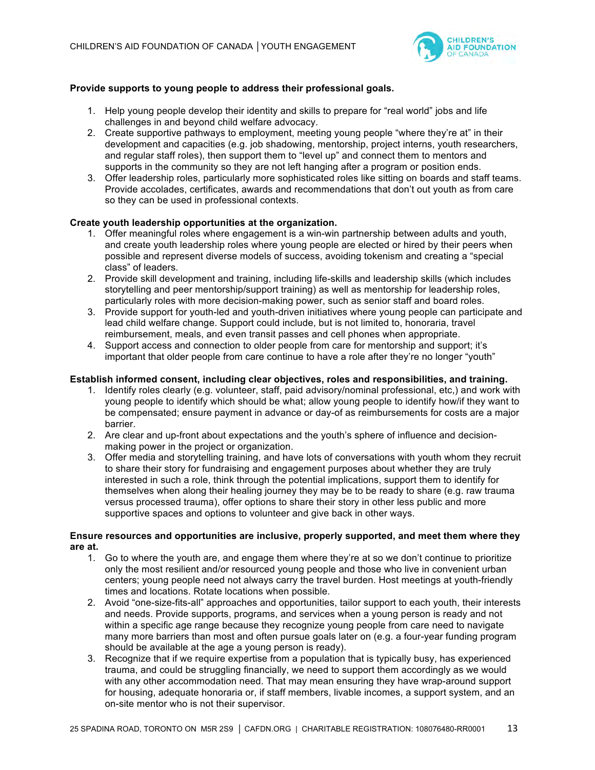

### **Provide supports to young people to address their professional goals.**

- 1. Help young people develop their identity and skills to prepare for "real world" jobs and life challenges in and beyond child welfare advocacy.
- 2. Create supportive pathways to employment, meeting young people "where they're at" in their development and capacities (e.g. job shadowing, mentorship, project interns, youth researchers, and regular staff roles), then support them to "level up" and connect them to mentors and supports in the community so they are not left hanging after a program or position ends.
- 3. Offer leadership roles, particularly more sophisticated roles like sitting on boards and staff teams. Provide accolades, certificates, awards and recommendations that don't out youth as from care so they can be used in professional contexts.

#### **Create youth leadership opportunities at the organization.**

- 1. Offer meaningful roles where engagement is a win-win partnership between adults and youth, and create youth leadership roles where young people are elected or hired by their peers when possible and represent diverse models of success, avoiding tokenism and creating a "special class" of leaders.
- 2. Provide skill development and training, including life-skills and leadership skills (which includes storytelling and peer mentorship/support training) as well as mentorship for leadership roles, particularly roles with more decision-making power, such as senior staff and board roles.
- 3. Provide support for youth-led and youth-driven initiatives where young people can participate and lead child welfare change. Support could include, but is not limited to, honoraria, travel reimbursement, meals, and even transit passes and cell phones when appropriate.
- 4. Support access and connection to older people from care for mentorship and support; it's important that older people from care continue to have a role after they're no longer "youth"

#### **Establish informed consent, including clear objectives, roles and responsibilities, and training.**

- 1. Identify roles clearly (e.g. volunteer, staff, paid advisory/nominal professional, etc,) and work with young people to identify which should be what; allow young people to identify how/if they want to be compensated; ensure payment in advance or day-of as reimbursements for costs are a major barrier.
- 2. Are clear and up-front about expectations and the youth's sphere of influence and decisionmaking power in the project or organization.
- 3. Offer media and storytelling training, and have lots of conversations with youth whom they recruit to share their story for fundraising and engagement purposes about whether they are truly interested in such a role, think through the potential implications, support them to identify for themselves when along their healing journey they may be to be ready to share (e.g. raw trauma versus processed trauma), offer options to share their story in other less public and more supportive spaces and options to volunteer and give back in other ways.

#### **Ensure resources and opportunities are inclusive, properly supported, and meet them where they are at.**

- 1. Go to where the youth are, and engage them where they're at so we don't continue to prioritize only the most resilient and/or resourced young people and those who live in convenient urban centers; young people need not always carry the travel burden. Host meetings at youth-friendly times and locations. Rotate locations when possible.
- 2. Avoid "one-size-fits-all" approaches and opportunities, tailor support to each youth, their interests and needs. Provide supports, programs, and services when a young person is ready and not within a specific age range because they recognize young people from care need to navigate many more barriers than most and often pursue goals later on (e.g. a four-year funding program should be available at the age a young person is ready).
- 3. Recognize that if we require expertise from a population that is typically busy, has experienced trauma, and could be struggling financially, we need to support them accordingly as we would with any other accommodation need. That may mean ensuring they have wrap-around support for housing, adequate honoraria or, if staff members, livable incomes, a support system, and an on-site mentor who is not their supervisor.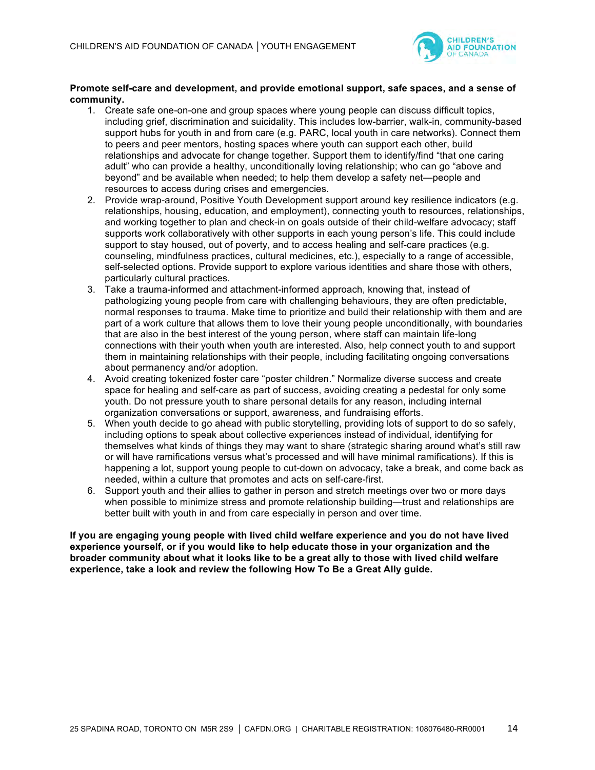

### **Promote self-care and development, and provide emotional support, safe spaces, and a sense of community.**

- 1. Create safe one-on-one and group spaces where young people can discuss difficult topics, including grief, discrimination and suicidality. This includes low-barrier, walk-in, community-based support hubs for youth in and from care (e.g. PARC, local youth in care networks). Connect them to peers and peer mentors, hosting spaces where youth can support each other, build relationships and advocate for change together. Support them to identify/find "that one caring adult" who can provide a healthy, unconditionally loving relationship; who can go "above and beyond" and be available when needed; to help them develop a safety net—people and resources to access during crises and emergencies.
- 2. Provide wrap-around, Positive Youth Development support around key resilience indicators (e.g. relationships, housing, education, and employment), connecting youth to resources, relationships, and working together to plan and check-in on goals outside of their child-welfare advocacy; staff supports work collaboratively with other supports in each young person's life. This could include support to stay housed, out of poverty, and to access healing and self-care practices (e.g. counseling, mindfulness practices, cultural medicines, etc.), especially to a range of accessible, self-selected options. Provide support to explore various identities and share those with others, particularly cultural practices.
- 3. Take a trauma-informed and attachment-informed approach, knowing that, instead of pathologizing young people from care with challenging behaviours, they are often predictable, normal responses to trauma. Make time to prioritize and build their relationship with them and are part of a work culture that allows them to love their young people unconditionally, with boundaries that are also in the best interest of the young person, where staff can maintain life-long connections with their youth when youth are interested. Also, help connect youth to and support them in maintaining relationships with their people, including facilitating ongoing conversations about permanency and/or adoption.
- 4. Avoid creating tokenized foster care "poster children." Normalize diverse success and create space for healing and self-care as part of success, avoiding creating a pedestal for only some youth. Do not pressure youth to share personal details for any reason, including internal organization conversations or support, awareness, and fundraising efforts.
- 5. When youth decide to go ahead with public storytelling, providing lots of support to do so safely, including options to speak about collective experiences instead of individual, identifying for themselves what kinds of things they may want to share (strategic sharing around what's still raw or will have ramifications versus what's processed and will have minimal ramifications). If this is happening a lot, support young people to cut-down on advocacy, take a break, and come back as needed, within a culture that promotes and acts on self-care-first.
- 6. Support youth and their allies to gather in person and stretch meetings over two or more days when possible to minimize stress and promote relationship building—trust and relationships are better built with youth in and from care especially in person and over time.

**If you are engaging young people with lived child welfare experience and you do not have lived experience yourself, or if you would like to help educate those in your organization and the broader community about what it looks like to be a great ally to those with lived child welfare experience, take a look and review the following How To Be a Great Ally guide.**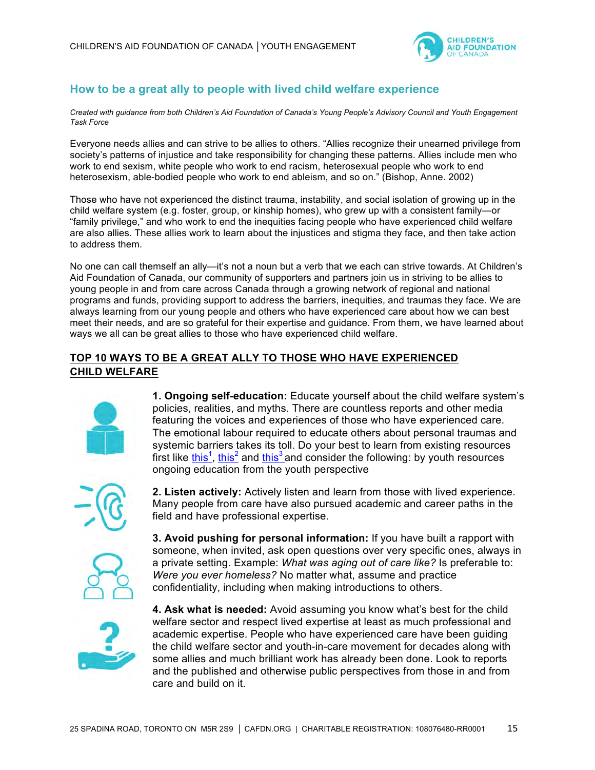

## **How to be a great ally to people with lived child welfare experience**

*Created with guidance from both Children's Aid Foundation of Canada's Young People's Advisory Council and Youth Engagement Task Force*

Everyone needs allies and can strive to be allies to others. "Allies recognize their unearned privilege from society's patterns of injustice and take responsibility for changing these patterns. Allies include men who work to end sexism, white people who work to end racism, heterosexual people who work to end heterosexism, able-bodied people who work to end ableism, and so on." (Bishop, Anne. 2002)

Those who have not experienced the distinct trauma, instability, and social isolation of growing up in the child welfare system (e.g. foster, group, or kinship homes), who grew up with a consistent family—or "family privilege," and who work to end the inequities facing people who have experienced child welfare are also allies. These allies work to learn about the injustices and stigma they face, and then take action to address them.

No one can call themself an ally—it's not a noun but a verb that we each can strive towards. At Children's Aid Foundation of Canada, our community of supporters and partners join us in striving to be allies to young people in and from care across Canada through a growing network of regional and national programs and funds, providing support to address the barriers, inequities, and traumas they face. We are always learning from our young people and others who have experienced care about how we can best meet their needs, and are so grateful for their expertise and guidance. From them, we have learned about ways we all can be great allies to those who have experienced child welfare.

## **TOP 10 WAYS TO BE A GREAT ALLY TO THOSE WHO HAVE EXPERIENCED CHILD WELFARE**



**1. Ongoing self-education:** Educate yourself about the child welfare system's policies, realities, and myths. There are countless reports and other media featuring the voices and experiences of those who have experienced care. The emotional labour required to educate others about personal traumas and systemic barriers takes its toll. Do your best to learn from existing resources first like  $\frac{\text{this}^1}{\text{this}^2}$  and  $\frac{\text{this}^3}{\text{and}}$  consider the following: by youth resources ongoing education from the youth perspective



**2. Listen actively:** Actively listen and learn from those with lived experience. Many people from care have also pursued academic and career paths in the field and have professional expertise.



**3. Avoid pushing for personal information:** If you have built a rapport with someone, when invited, ask open questions over very specific ones, always in a private setting. Example: *What was aging out of care like?* Is preferable to: *Were you ever homeless?* No matter what, assume and practice confidentiality, including when making introductions to others.



**4. Ask what is needed:** Avoid assuming you know what's best for the child welfare sector and respect lived expertise at least as much professional and academic expertise. People who have experienced care have been guiding the child welfare sector and youth-in-care movement for decades along with some allies and much brilliant work has already been done. Look to reports and the published and otherwise public perspectives from those in and from care and build on it.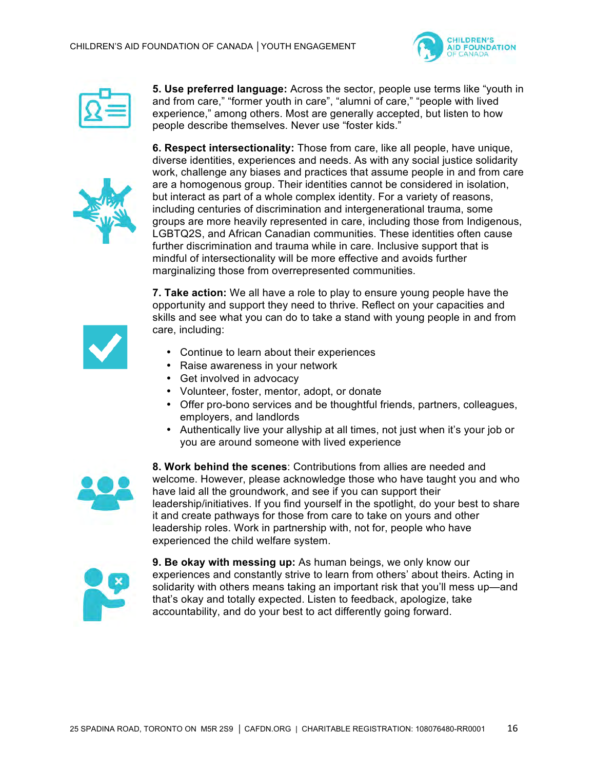



**5. Use preferred language:** Across the sector, people use terms like "youth in and from care," "former youth in care", "alumni of care," "people with lived experience," among others. Most are generally accepted, but listen to how people describe themselves. Never use "foster kids."



**6. Respect intersectionality:** Those from care, like all people, have unique, diverse identities, experiences and needs. As with any social justice solidarity work, challenge any biases and practices that assume people in and from care are a homogenous group. Their identities cannot be considered in isolation, but interact as part of a whole complex identity. For a variety of reasons, including centuries of discrimination and intergenerational trauma, some groups are more heavily represented in care, including those from Indigenous, LGBTQ2S, and African Canadian communities. These identities often cause further discrimination and trauma while in care. Inclusive support that is mindful of intersectionality will be more effective and avoids further marginalizing those from overrepresented communities.

**7. Take action:** We all have a role to play to ensure young people have the opportunity and support they need to thrive. Reflect on your capacities and skills and see what you can do to take a stand with young people in and from care, including:

- 
- Continue to learn about their experiences
- Raise awareness in your network
- Get involved in advocacy
- Volunteer, foster, mentor, adopt, or donate
- Offer pro-bono services and be thoughtful friends, partners, colleagues, employers, and landlords
- Authentically live your allyship at all times, not just when it's your job or you are around someone with lived experience



**8. Work behind the scenes**: Contributions from allies are needed and welcome. However, please acknowledge those who have taught you and who have laid all the groundwork, and see if you can support their leadership/initiatives. If you find yourself in the spotlight, do your best to share it and create pathways for those from care to take on yours and other leadership roles. Work in partnership with, not for, people who have experienced the child welfare system.



**9. Be okay with messing up:** As human beings, we only know our experiences and constantly strive to learn from others' about theirs. Acting in solidarity with others means taking an important risk that you'll mess up—and that's okay and totally expected. Listen to feedback, apologize, take accountability, and do your best to act differently going forward.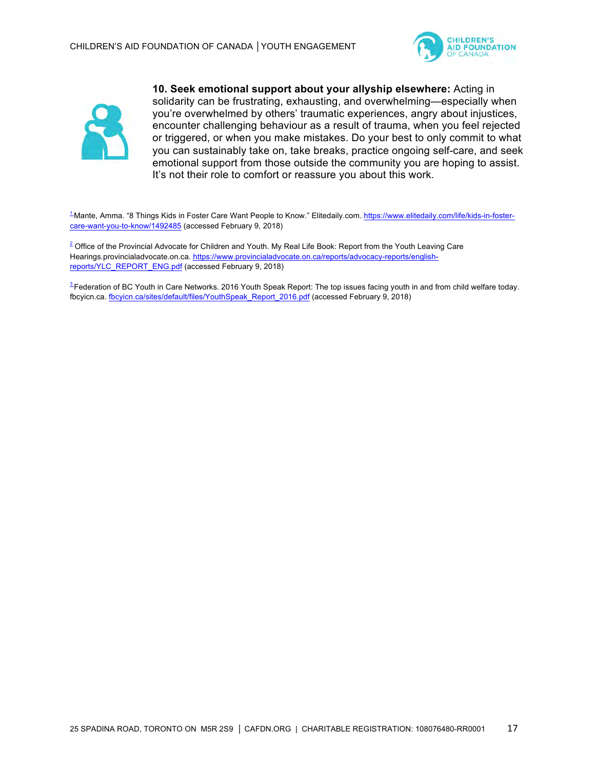



**10. Seek emotional support about your allyship elsewhere:** Acting in solidarity can be frustrating, exhausting, and overwhelming—especially when you're overwhelmed by others' traumatic experiences, angry about injustices, encounter challenging behaviour as a result of trauma, when you feel rejected or triggered, or when you make mistakes. Do your best to only commit to what you can sustainably take on, take breaks, practice ongoing self-care, and seek emotional support from those outside the community you are hoping to assist. It's not their role to comfort or reassure you about this work.

1 Mante, Amma. "8 Things Kids in Foster Care Want People to Know." Elitedaily.com. https://www.elitedaily.com/life/kids-in-fostercare-want-you-to-know/1492485 (accessed February 9, 2018)

 $2$  Office of the Provincial Advocate for Children and Youth. My Real Life Book: Report from the Youth Leaving Care Hearings.provincialadvocate.on.ca. https://www.provincialadvocate.on.ca/reports/advocacy-reports/englishreports/YLC\_REPORT\_ENG.pdf (accessed February 9, 2018)

<sup>3</sup> Federation of BC Youth in Care Networks. 2016 Youth Speak Report: The top issues facing youth in and from child welfare today. fbcyicn.ca. fbcyicn.ca/sites/default/files/YouthSpeak\_Report\_2016.pdf (accessed February 9, 2018)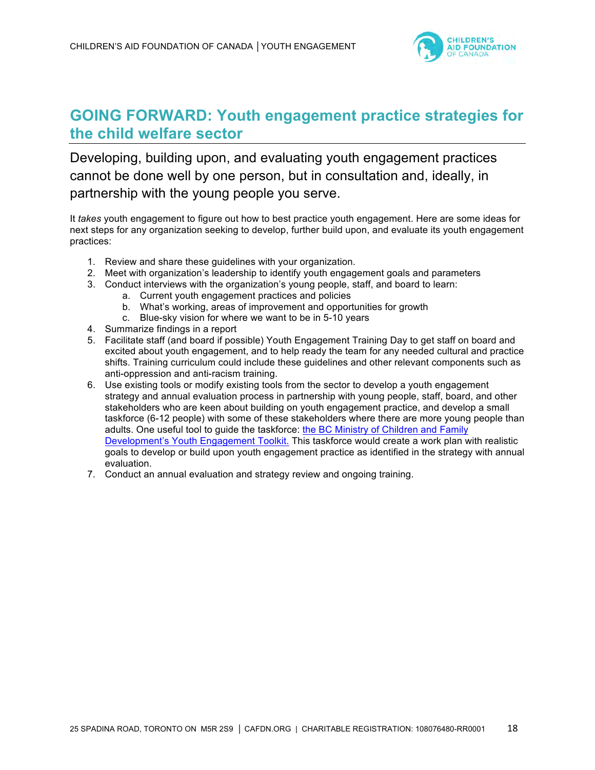

# **GOING FORWARD: Youth engagement practice strategies for the child welfare sector**

Developing, building upon, and evaluating youth engagement practices cannot be done well by one person, but in consultation and, ideally, in partnership with the young people you serve.

It *takes* youth engagement to figure out how to best practice youth engagement. Here are some ideas for next steps for any organization seeking to develop, further build upon, and evaluate its youth engagement practices:

- 1. Review and share these guidelines with your organization.
- 2. Meet with organization's leadership to identify youth engagement goals and parameters
- 3. Conduct interviews with the organization's young people, staff, and board to learn:
	- a. Current youth engagement practices and policies
	- b. What's working, areas of improvement and opportunities for growth
	- c. Blue-sky vision for where we want to be in 5-10 years
- 4. Summarize findings in a report
- 5. Facilitate staff (and board if possible) Youth Engagement Training Day to get staff on board and excited about youth engagement, and to help ready the team for any needed cultural and practice shifts. Training curriculum could include these guidelines and other relevant components such as anti-oppression and anti-racism training.
- 6. Use existing tools or modify existing tools from the sector to develop a youth engagement strategy and annual evaluation process in partnership with young people, staff, board, and other stakeholders who are keen about building on youth engagement practice, and develop a small taskforce (6-12 people) with some of these stakeholders where there are more young people than adults. One useful tool to guide the taskforce: the BC Ministry of Children and Family Development's Youth Engagement Toolkit. This taskforce would create a work plan with realistic goals to develop or build upon youth engagement practice as identified in the strategy with annual evaluation.
- 7. Conduct an annual evaluation and strategy review and ongoing training.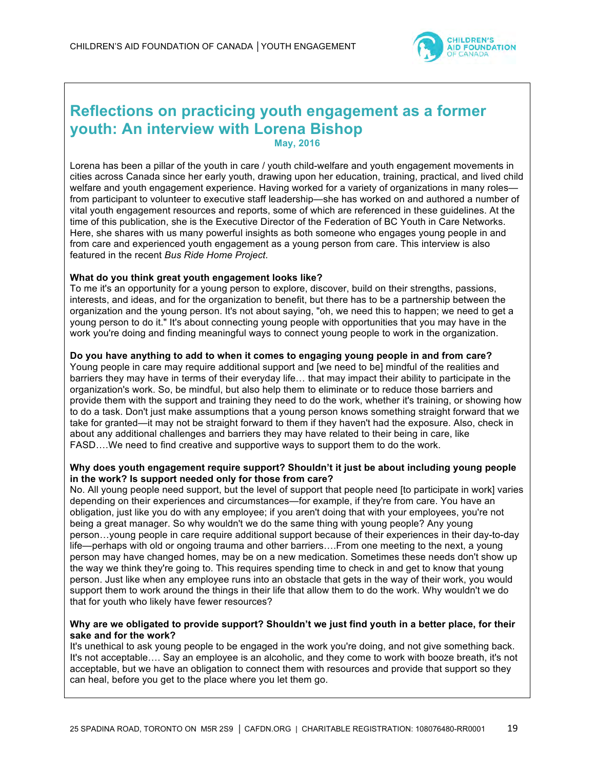

# **Reflections on practicing youth engagement as a former youth: An interview with Lorena Bishop May, 2016**

Lorena has been a pillar of the youth in care / youth child-welfare and youth engagement movements in cities across Canada since her early youth, drawing upon her education, training, practical, and lived child welfare and youth engagement experience. Having worked for a variety of organizations in many rolesfrom participant to volunteer to executive staff leadership—she has worked on and authored a number of vital youth engagement resources and reports, some of which are referenced in these guidelines. At the time of this publication, she is the Executive Director of the Federation of BC Youth in Care Networks. Here, she shares with us many powerful insights as both someone who engages young people in and from care and experienced youth engagement as a young person from care. This interview is also featured in the recent *Bus Ride Home Project*.

### **What do you think great youth engagement looks like?**

To me it's an opportunity for a young person to explore, discover, build on their strengths, passions, interests, and ideas, and for the organization to benefit, but there has to be a partnership between the organization and the young person. It's not about saying, "oh, we need this to happen; we need to get a young person to do it." It's about connecting young people with opportunities that you may have in the work you're doing and finding meaningful ways to connect young people to work in the organization.

## **Do you have anything to add to when it comes to engaging young people in and from care?**

Young people in care may require additional support and [we need to be] mindful of the realities and barriers they may have in terms of their everyday life… that may impact their ability to participate in the organization's work. So, be mindful, but also help them to eliminate or to reduce those barriers and provide them with the support and training they need to do the work, whether it's training, or showing how to do a task. Don't just make assumptions that a young person knows something straight forward that we take for granted—it may not be straight forward to them if they haven't had the exposure. Also, check in about any additional challenges and barriers they may have related to their being in care, like FASD….We need to find creative and supportive ways to support them to do the work.

#### **Why does youth engagement require support? Shouldn't it just be about including young people in the work? Is support needed only for those from care?**

No. All young people need support, but the level of support that people need [to participate in work] varies depending on their experiences and circumstances—for example, if they're from care. You have an obligation, just like you do with any employee; if you aren't doing that with your employees, you're not being a great manager. So why wouldn't we do the same thing with young people? Any young person…young people in care require additional support because of their experiences in their day-to-day life—perhaps with old or ongoing trauma and other barriers….From one meeting to the next, a young person may have changed homes, may be on a new medication. Sometimes these needs don't show up the way we think they're going to. This requires spending time to check in and get to know that young person. Just like when any employee runs into an obstacle that gets in the way of their work, you would support them to work around the things in their life that allow them to do the work. Why wouldn't we do that for youth who likely have fewer resources?

#### **Why are we obligated to provide support? Shouldn't we just find youth in a better place, for their sake and for the work?**

It's unethical to ask young people to be engaged in the work you're doing, and not give something back. It's not acceptable…. Say an employee is an alcoholic, and they come to work with booze breath, it's not acceptable, but we have an obligation to connect them with resources and provide that support so they can heal, before you get to the place where you let them go.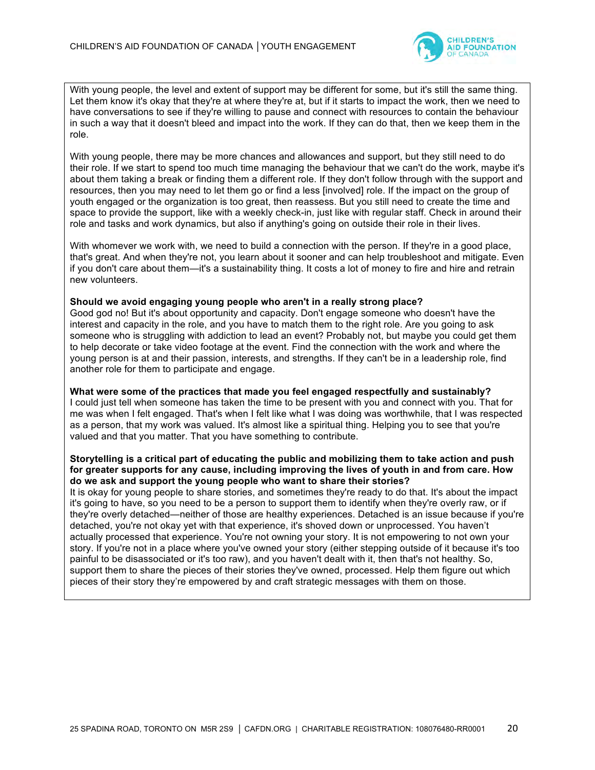

With young people, the level and extent of support may be different for some, but it's still the same thing. Let them know it's okay that they're at where they're at, but if it starts to impact the work, then we need to have conversations to see if they're willing to pause and connect with resources to contain the behaviour in such a way that it doesn't bleed and impact into the work. If they can do that, then we keep them in the role.

With young people, there may be more chances and allowances and support, but they still need to do their role. If we start to spend too much time managing the behaviour that we can't do the work, maybe it's about them taking a break or finding them a different role. If they don't follow through with the support and resources, then you may need to let them go or find a less [involved] role. If the impact on the group of youth engaged or the organization is too great, then reassess. But you still need to create the time and space to provide the support, like with a weekly check-in, just like with regular staff. Check in around their role and tasks and work dynamics, but also if anything's going on outside their role in their lives.

With whomever we work with, we need to build a connection with the person. If they're in a good place, that's great. And when they're not, you learn about it sooner and can help troubleshoot and mitigate. Even if you don't care about them—it's a sustainability thing. It costs a lot of money to fire and hire and retrain new volunteers.

#### **Should we avoid engaging young people who aren't in a really strong place?**

Good god no! But it's about opportunity and capacity. Don't engage someone who doesn't have the interest and capacity in the role, and you have to match them to the right role. Are you going to ask someone who is struggling with addiction to lead an event? Probably not, but maybe you could get them to help decorate or take video footage at the event. Find the connection with the work and where the young person is at and their passion, interests, and strengths. If they can't be in a leadership role, find another role for them to participate and engage.

**What were some of the practices that made you feel engaged respectfully and sustainably?** I could just tell when someone has taken the time to be present with you and connect with you. That for me was when I felt engaged. That's when I felt like what I was doing was worthwhile, that I was respected as a person, that my work was valued. It's almost like a spiritual thing. Helping you to see that you're valued and that you matter. That you have something to contribute.

#### **Storytelling is a critical part of educating the public and mobilizing them to take action and push for greater supports for any cause, including improving the lives of youth in and from care. How do we ask and support the young people who want to share their stories?**

It is okay for young people to share stories, and sometimes they're ready to do that. It's about the impact it's going to have, so you need to be a person to support them to identify when they're overly raw, or if they're overly detached—neither of those are healthy experiences. Detached is an issue because if you're detached, you're not okay yet with that experience, it's shoved down or unprocessed. You haven't actually processed that experience. You're not owning your story. It is not empowering to not own your story. If you're not in a place where you've owned your story (either stepping outside of it because it's too painful to be disassociated or it's too raw), and you haven't dealt with it, then that's not healthy. So, support them to share the pieces of their stories they've owned, processed. Help them figure out which pieces of their story they're empowered by and craft strategic messages with them on those.